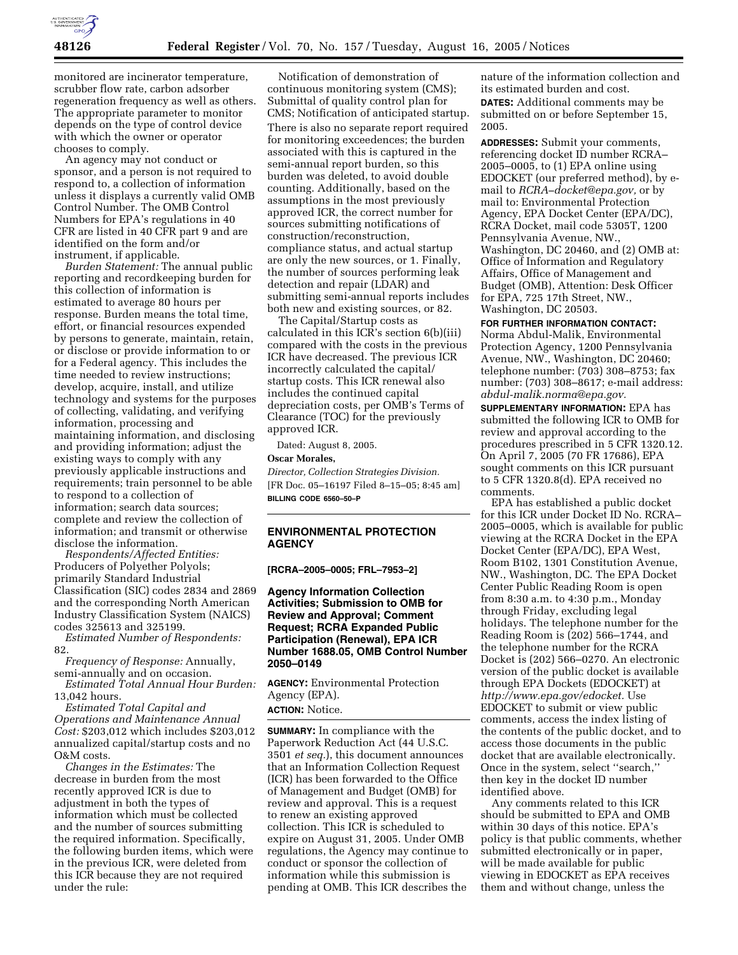

monitored are incinerator temperature, scrubber flow rate, carbon adsorber regeneration frequency as well as others. The appropriate parameter to monitor depends on the type of control device with which the owner or operator chooses to comply.

An agency may not conduct or sponsor, and a person is not required to respond to, a collection of information unless it displays a currently valid OMB Control Number. The OMB Control Numbers for EPA's regulations in 40 CFR are listed in 40 CFR part 9 and are identified on the form and/or instrument, if applicable.

*Burden Statement:* The annual public reporting and recordkeeping burden for this collection of information is estimated to average 80 hours per response. Burden means the total time, effort, or financial resources expended by persons to generate, maintain, retain, or disclose or provide information to or for a Federal agency. This includes the time needed to review instructions; develop, acquire, install, and utilize technology and systems for the purposes of collecting, validating, and verifying information, processing and maintaining information, and disclosing and providing information; adjust the existing ways to comply with any previously applicable instructions and requirements; train personnel to be able to respond to a collection of information; search data sources; complete and review the collection of information; and transmit or otherwise disclose the information.

*Respondents/Affected Entities:* Producers of Polyether Polyols; primarily Standard Industrial Classification (SIC) codes 2834 and 2869 and the corresponding North American Industry Classification System (NAICS) codes 325613 and 325199.

*Estimated Number of Respondents:* 82.

*Frequency of Response:* Annually, semi-annually and on occasion.

*Estimated Total Annual Hour Burden:* 13,042 hours.

*Estimated Total Capital and Operations and Maintenance Annual Cost:* \$203,012 which includes \$203,012 annualized capital/startup costs and no O&M costs.

*Changes in the Estimates:* The decrease in burden from the most recently approved ICR is due to adjustment in both the types of information which must be collected and the number of sources submitting the required information. Specifically, the following burden items, which were in the previous ICR, were deleted from this ICR because they are not required under the rule:

Notification of demonstration of continuous monitoring system (CMS); Submittal of quality control plan for CMS; Notification of anticipated startup. There is also no separate report required for monitoring exceedences; the burden associated with this is captured in the semi-annual report burden, so this burden was deleted, to avoid double counting. Additionally, based on the assumptions in the most previously approved ICR, the correct number for sources submitting notifications of construction/reconstruction, compliance status, and actual startup are only the new sources, or 1. Finally, the number of sources performing leak detection and repair (LDAR) and submitting semi-annual reports includes both new and existing sources, or 82.

The Capital/Startup costs as calculated in this ICR's section 6(b)(iii) compared with the costs in the previous ICR have decreased. The previous ICR incorrectly calculated the capital/ startup costs. This ICR renewal also includes the continued capital depreciation costs, per OMB's Terms of Clearance (TOC) for the previously approved ICR.

Dated: August 8, 2005.

**Oscar Morales,** 

*Director, Collection Strategies Division.* [FR Doc. 05–16197 Filed 8–15–05; 8:45 am] **BILLING CODE 6560–50–P**

# **ENVIRONMENTAL PROTECTION AGENCY**

**[RCRA–2005–0005; FRL–7953–2]** 

**Agency Information Collection Activities; Submission to OMB for Review and Approval; Comment Request; RCRA Expanded Public Participation (Renewal), EPA ICR Number 1688.05, OMB Control Number 2050–0149**

**AGENCY:** Environmental Protection Agency (EPA).

# **ACTION:** Notice.

**SUMMARY:** In compliance with the Paperwork Reduction Act (44 U.S.C. 3501 *et seq.*), this document announces that an Information Collection Request (ICR) has been forwarded to the Office of Management and Budget (OMB) for review and approval. This is a request to renew an existing approved collection. This ICR is scheduled to expire on August 31, 2005. Under OMB regulations, the Agency may continue to conduct or sponsor the collection of information while this submission is pending at OMB. This ICR describes the

nature of the information collection and its estimated burden and cost. **DATES:** Additional comments may be submitted on or before September 15, 2005.

**ADDRESSES:** Submit your comments, referencing docket ID number RCRA– 2005–0005, to (1) EPA online using EDOCKET (our preferred method), by email to *RCRA–docket@epa.gov,* or by mail to: Environmental Protection Agency, EPA Docket Center (EPA/DC), RCRA Docket, mail code 5305T, 1200 Pennsylvania Avenue, NW., Washington, DC 20460, and (2) OMB at: Office of Information and Regulatory Affairs, Office of Management and Budget (OMB), Attention: Desk Officer for EPA, 725 17th Street, NW., Washington, DC 20503.

**FOR FURTHER INFORMATION CONTACT:** Norma Abdul-Malik, Environmental Protection Agency, 1200 Pennsylvania Avenue, NW., Washington, DC 20460; telephone number: (703) 308–8753; fax number: (703) 308–8617; e-mail address: *abdul-malik.norma@epa.gov.*

**SUPPLEMENTARY INFORMATION:** EPA has submitted the following ICR to OMB for review and approval according to the procedures prescribed in 5 CFR 1320.12. On April 7, 2005 (70 FR 17686), EPA sought comments on this ICR pursuant to 5 CFR 1320.8(d). EPA received no comments.

EPA has established a public docket for this ICR under Docket ID No. RCRA– 2005–0005, which is available for public viewing at the RCRA Docket in the EPA Docket Center (EPA/DC), EPA West, Room B102, 1301 Constitution Avenue, NW., Washington, DC. The EPA Docket Center Public Reading Room is open from 8:30 a.m. to 4:30 p.m., Monday through Friday, excluding legal holidays. The telephone number for the Reading Room is (202) 566–1744, and the telephone number for the RCRA Docket is (202) 566–0270. An electronic version of the public docket is available through EPA Dockets (EDOCKET) at *http://www.epa.gov/edocket.* Use EDOCKET to submit or view public comments, access the index listing of the contents of the public docket, and to access those documents in the public docket that are available electronically. Once in the system, select ''search,'' then key in the docket ID number identified above.

Any comments related to this ICR should be submitted to EPA and OMB within 30 days of this notice. EPA's policy is that public comments, whether submitted electronically or in paper, will be made available for public viewing in EDOCKET as EPA receives them and without change, unless the